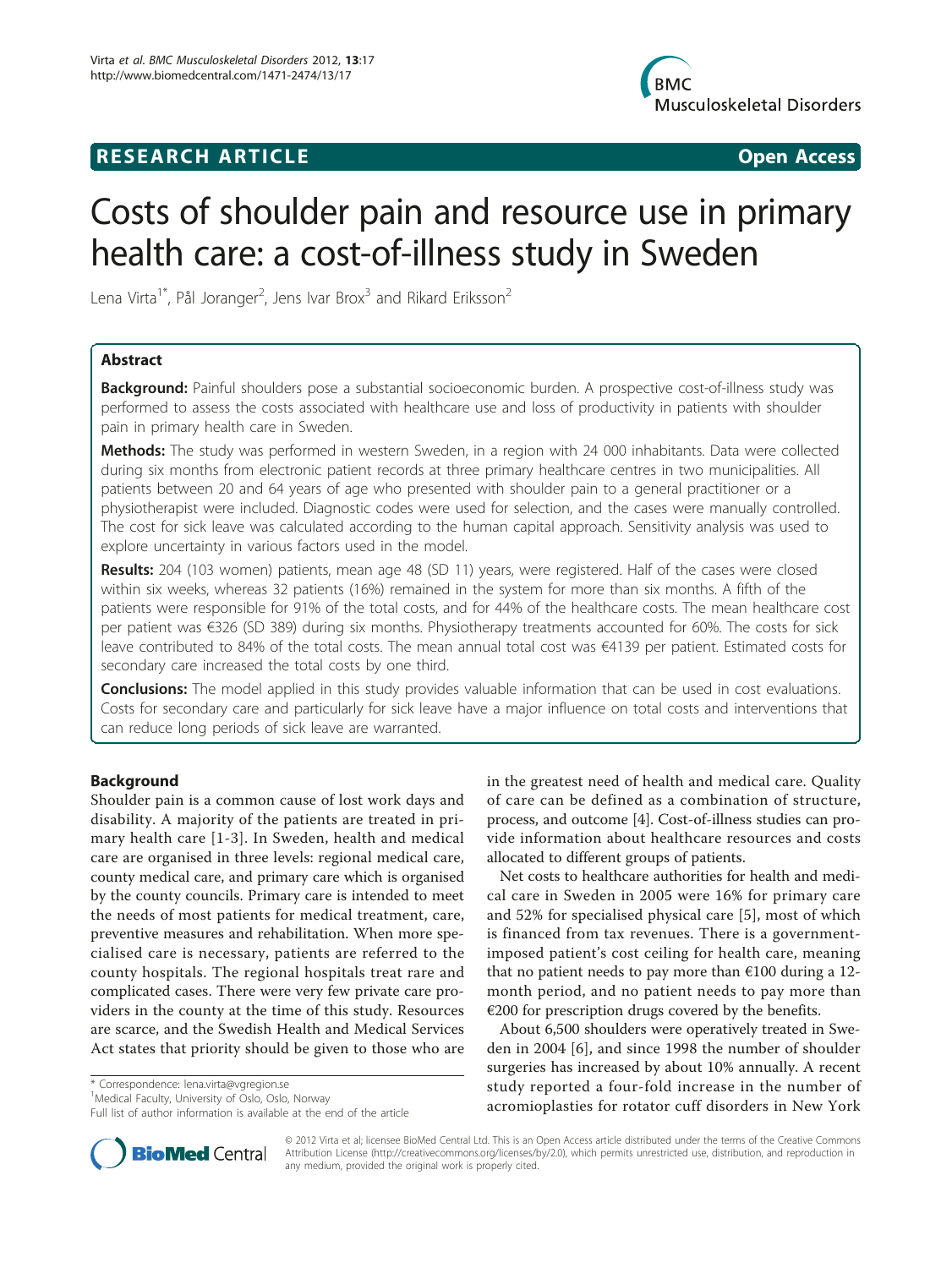# **RESEARCH ARTICLE Example 2018 12:00 Open Access**



# Costs of shoulder pain and resource use in primary health care: a cost-of-illness study in Sweden

Lena Virta<sup>1\*</sup>, Pål Joranger<sup>2</sup>, Jens Ivar Brox<sup>3</sup> and Rikard Eriksson<sup>2</sup>

# Abstract

Background: Painful shoulders pose a substantial socioeconomic burden. A prospective cost-of-illness study was performed to assess the costs associated with healthcare use and loss of productivity in patients with shoulder pain in primary health care in Sweden.

Methods: The study was performed in western Sweden, in a region with 24 000 inhabitants. Data were collected during six months from electronic patient records at three primary healthcare centres in two municipalities. All patients between 20 and 64 years of age who presented with shoulder pain to a general practitioner or a physiotherapist were included. Diagnostic codes were used for selection, and the cases were manually controlled. The cost for sick leave was calculated according to the human capital approach. Sensitivity analysis was used to explore uncertainty in various factors used in the model.

Results: 204 (103 women) patients, mean age 48 (SD 11) years, were registered. Half of the cases were closed within six weeks, whereas 32 patients (16%) remained in the system for more than six months. A fifth of the patients were responsible for 91% of the total costs, and for 44% of the healthcare costs. The mean healthcare cost per patient was €326 (SD 389) during six months. Physiotherapy treatments accounted for 60%. The costs for sick leave contributed to 84% of the total costs. The mean annual total cost was €4139 per patient. Estimated costs for secondary care increased the total costs by one third.

**Conclusions:** The model applied in this study provides valuable information that can be used in cost evaluations. Costs for secondary care and particularly for sick leave have a major influence on total costs and interventions that can reduce long periods of sick leave are warranted.

# Background

Shoulder pain is a common cause of lost work days and disability. A majority of the patients are treated in primary health care [\[1-3\]](#page-9-0). In Sweden, health and medical care are organised in three levels: regional medical care, county medical care, and primary care which is organised by the county councils. Primary care is intended to meet the needs of most patients for medical treatment, care, preventive measures and rehabilitation. When more specialised care is necessary, patients are referred to the county hospitals. The regional hospitals treat rare and complicated cases. There were very few private care providers in the county at the time of this study. Resources are scarce, and the Swedish Health and Medical Services Act states that priority should be given to those who are

\* Correspondence: [lena.virta@vgregion.se](mailto:lena.virta@vgregion.se)

<sup>1</sup>Medical Faculty, University of Oslo, Oslo, Norway

Full list of author information is available at the end of the article

in the greatest need of health and medical care. Quality of care can be defined as a combination of structure, process, and outcome [[4\]](#page-9-0). Cost-of-illness studies can provide information about healthcare resources and costs allocated to different groups of patients.

Net costs to healthcare authorities for health and medical care in Sweden in 2005 were 16% for primary care and 52% for specialised physical care [\[5](#page-9-0)], most of which is financed from tax revenues. There is a governmentimposed patient's cost ceiling for health care, meaning that no patient needs to pay more than  $\epsilon$ 100 during a 12month period, and no patient needs to pay more than €200 for prescription drugs covered by the benefits.

About 6,500 shoulders were operatively treated in Sweden in 2004 [\[6](#page-9-0)], and since 1998 the number of shoulder surgeries has increased by about 10% annually. A recent study reported a four-fold increase in the number of acromioplasties for rotator cuff disorders in New York



© 2012 Virta et al; licensee BioMed Central Ltd. This is an Open Access article distributed under the terms of the Creative Commons Attribution License [\(http://creativecommons.org/licenses/by/2.0](http://creativecommons.org/licenses/by/2.0)), which permits unrestricted use, distribution, and reproduction in any medium, provided the original work is properly cited.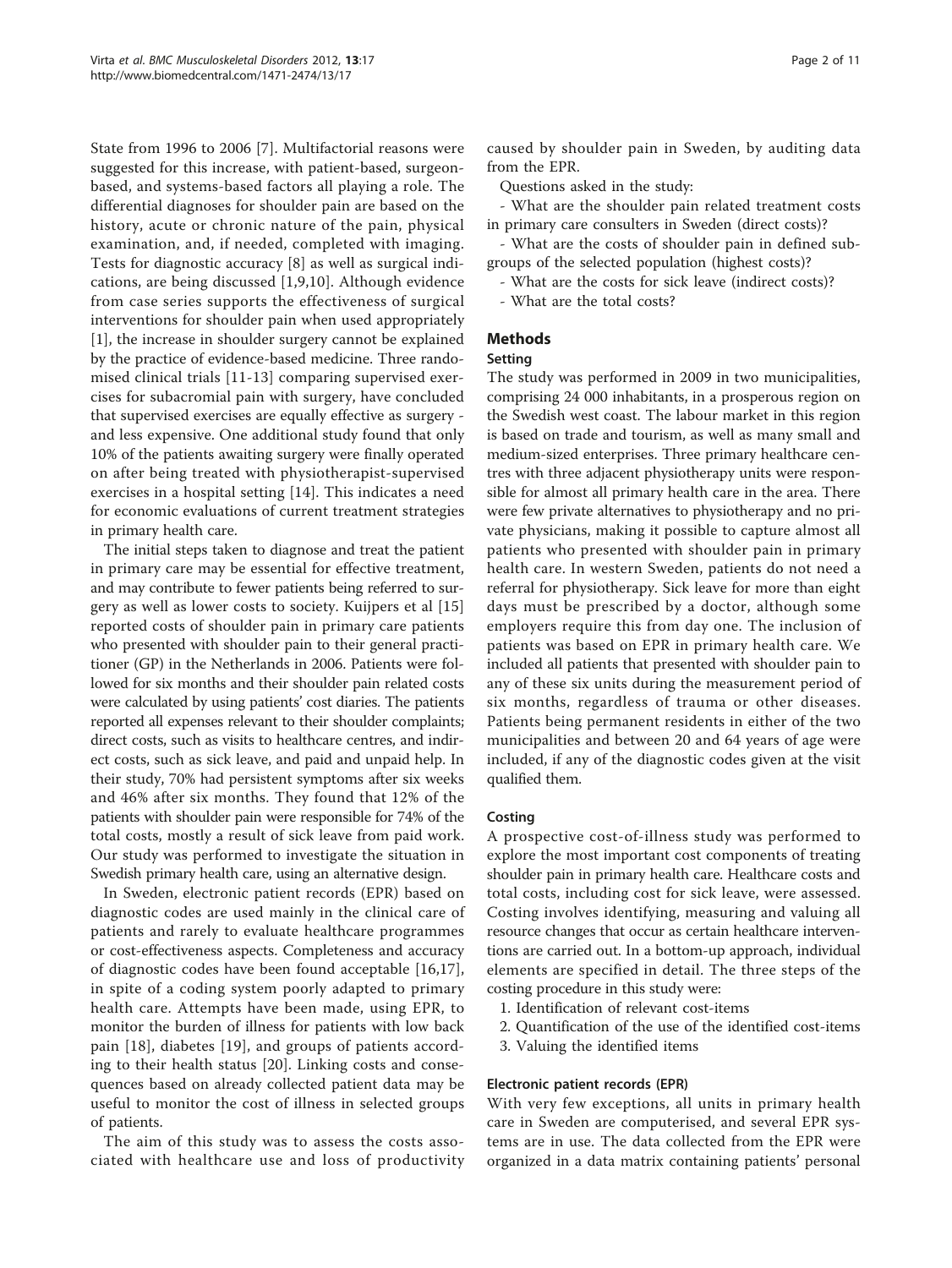State from 1996 to 2006 [[7\]](#page-9-0). Multifactorial reasons were suggested for this increase, with patient-based, surgeonbased, and systems-based factors all playing a role. The differential diagnoses for shoulder pain are based on the history, acute or chronic nature of the pain, physical examination, and, if needed, completed with imaging. Tests for diagnostic accuracy [\[8](#page-9-0)] as well as surgical indications, are being discussed [[1,9,10\]](#page-9-0). Although evidence from case series supports the effectiveness of surgical interventions for shoulder pain when used appropriately [[1\]](#page-9-0), the increase in shoulder surgery cannot be explained by the practice of evidence-based medicine. Three randomised clinical trials [\[11](#page-9-0)-[13](#page-9-0)] comparing supervised exercises for subacromial pain with surgery, have concluded that supervised exercises are equally effective as surgery and less expensive. One additional study found that only 10% of the patients awaiting surgery were finally operated on after being treated with physiotherapist-supervised exercises in a hospital setting [\[14](#page-9-0)]. This indicates a need for economic evaluations of current treatment strategies in primary health care.

The initial steps taken to diagnose and treat the patient in primary care may be essential for effective treatment, and may contribute to fewer patients being referred to surgery as well as lower costs to society. Kuijpers et al [\[15](#page-9-0)] reported costs of shoulder pain in primary care patients who presented with shoulder pain to their general practitioner (GP) in the Netherlands in 2006. Patients were followed for six months and their shoulder pain related costs were calculated by using patients' cost diaries. The patients reported all expenses relevant to their shoulder complaints; direct costs, such as visits to healthcare centres, and indirect costs, such as sick leave, and paid and unpaid help. In their study, 70% had persistent symptoms after six weeks and 46% after six months. They found that 12% of the patients with shoulder pain were responsible for 74% of the total costs, mostly a result of sick leave from paid work. Our study was performed to investigate the situation in Swedish primary health care, using an alternative design.

In Sweden, electronic patient records (EPR) based on diagnostic codes are used mainly in the clinical care of patients and rarely to evaluate healthcare programmes or cost-effectiveness aspects. Completeness and accuracy of diagnostic codes have been found acceptable [[16,17](#page-10-0)], in spite of a coding system poorly adapted to primary health care. Attempts have been made, using EPR, to monitor the burden of illness for patients with low back pain [\[18\]](#page-10-0), diabetes [\[19](#page-10-0)], and groups of patients according to their health status [\[20](#page-10-0)]. Linking costs and consequences based on already collected patient data may be useful to monitor the cost of illness in selected groups of patients.

The aim of this study was to assess the costs associated with healthcare use and loss of productivity caused by shoulder pain in Sweden, by auditing data from the EPR.

Questions asked in the study:

- What are the shoulder pain related treatment costs in primary care consulters in Sweden (direct costs)?

- What are the costs of shoulder pain in defined subgroups of the selected population (highest costs)?

- What are the costs for sick leave (indirect costs)?

- What are the total costs?

# Methods

# Setting

The study was performed in 2009 in two municipalities, comprising 24 000 inhabitants, in a prosperous region on the Swedish west coast. The labour market in this region is based on trade and tourism, as well as many small and medium-sized enterprises. Three primary healthcare centres with three adjacent physiotherapy units were responsible for almost all primary health care in the area. There were few private alternatives to physiotherapy and no private physicians, making it possible to capture almost all patients who presented with shoulder pain in primary health care. In western Sweden, patients do not need a referral for physiotherapy. Sick leave for more than eight days must be prescribed by a doctor, although some employers require this from day one. The inclusion of patients was based on EPR in primary health care. We included all patients that presented with shoulder pain to any of these six units during the measurement period of six months, regardless of trauma or other diseases. Patients being permanent residents in either of the two municipalities and between 20 and 64 years of age were included, if any of the diagnostic codes given at the visit qualified them.

# Costing

A prospective cost-of-illness study was performed to explore the most important cost components of treating shoulder pain in primary health care. Healthcare costs and total costs, including cost for sick leave, were assessed. Costing involves identifying, measuring and valuing all resource changes that occur as certain healthcare interventions are carried out. In a bottom-up approach, individual elements are specified in detail. The three steps of the costing procedure in this study were:

- 1. Identification of relevant cost-items
- 2. Quantification of the use of the identified cost-items
- 3. Valuing the identified items

# Electronic patient records (EPR)

With very few exceptions, all units in primary health care in Sweden are computerised, and several EPR systems are in use. The data collected from the EPR were organized in a data matrix containing patients' personal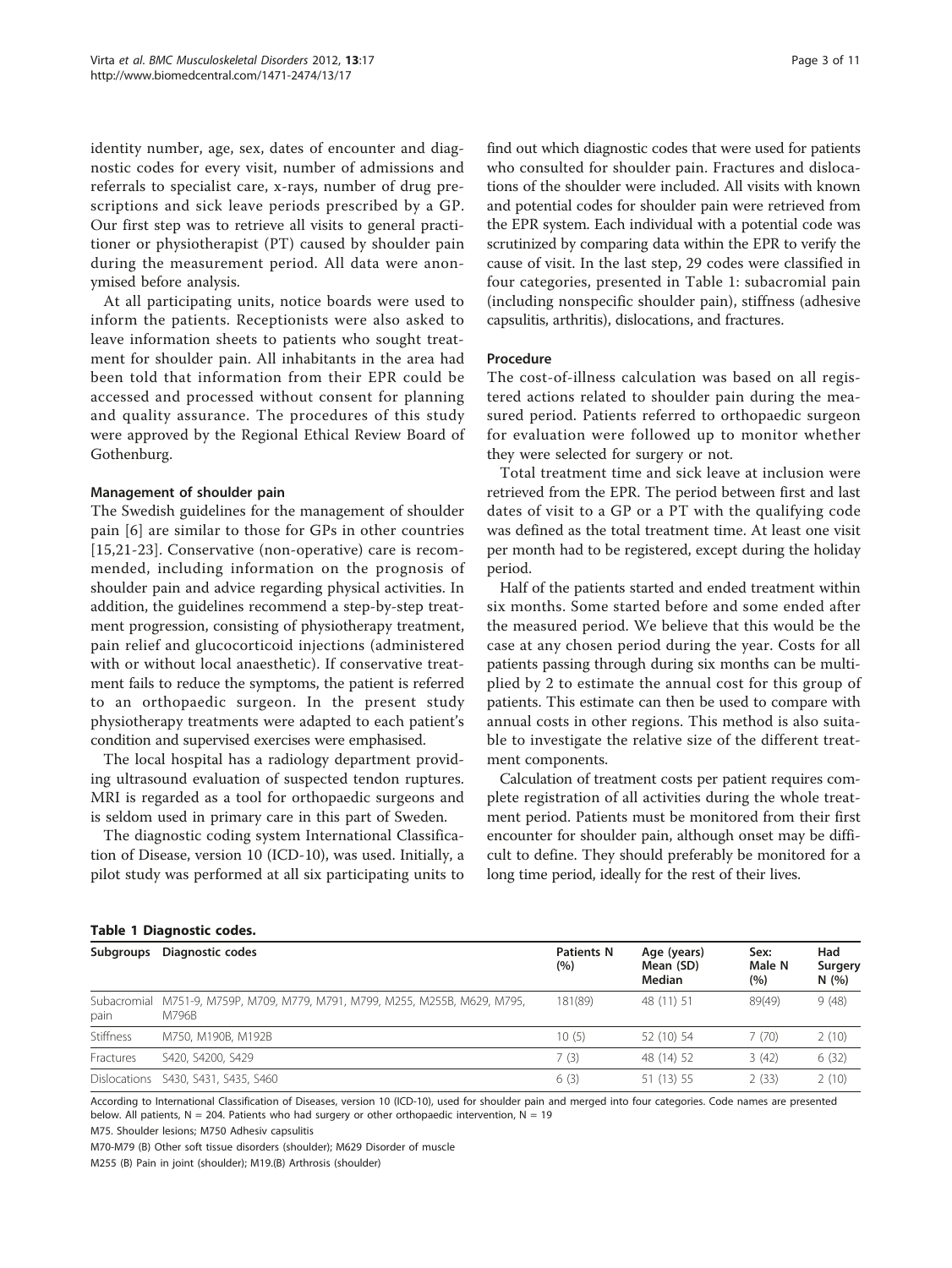<span id="page-2-0"></span>identity number, age, sex, dates of encounter and diagnostic codes for every visit, number of admissions and referrals to specialist care, x-rays, number of drug prescriptions and sick leave periods prescribed by a GP. Our first step was to retrieve all visits to general practitioner or physiotherapist (PT) caused by shoulder pain during the measurement period. All data were anonymised before analysis.

At all participating units, notice boards were used to inform the patients. Receptionists were also asked to leave information sheets to patients who sought treatment for shoulder pain. All inhabitants in the area had been told that information from their EPR could be accessed and processed without consent for planning and quality assurance. The procedures of this study were approved by the Regional Ethical Review Board of Gothenburg.

## Management of shoulder pain

The Swedish guidelines for the management of shoulder pain [\[6\]](#page-9-0) are similar to those for GPs in other countries [[15](#page-9-0)[,21-23](#page-10-0)]. Conservative (non-operative) care is recommended, including information on the prognosis of shoulder pain and advice regarding physical activities. In addition, the guidelines recommend a step-by-step treatment progression, consisting of physiotherapy treatment, pain relief and glucocorticoid injections (administered with or without local anaesthetic). If conservative treatment fails to reduce the symptoms, the patient is referred to an orthopaedic surgeon. In the present study physiotherapy treatments were adapted to each patient's condition and supervised exercises were emphasised.

The local hospital has a radiology department providing ultrasound evaluation of suspected tendon ruptures. MRI is regarded as a tool for orthopaedic surgeons and is seldom used in primary care in this part of Sweden.

The diagnostic coding system International Classification of Disease, version 10 (ICD-10), was used. Initially, a pilot study was performed at all six participating units to find out which diagnostic codes that were used for patients who consulted for shoulder pain. Fractures and dislocations of the shoulder were included. All visits with known and potential codes for shoulder pain were retrieved from the EPR system. Each individual with a potential code was scrutinized by comparing data within the EPR to verify the

cause of visit. In the last step, 29 codes were classified in four categories, presented in Table 1: subacromial pain (including nonspecific shoulder pain), stiffness (adhesive capsulitis, arthritis), dislocations, and fractures.

# Procedure

The cost-of-illness calculation was based on all registered actions related to shoulder pain during the measured period. Patients referred to orthopaedic surgeon for evaluation were followed up to monitor whether they were selected for surgery or not.

Total treatment time and sick leave at inclusion were retrieved from the EPR. The period between first and last dates of visit to a GP or a PT with the qualifying code was defined as the total treatment time. At least one visit per month had to be registered, except during the holiday period.

Half of the patients started and ended treatment within six months. Some started before and some ended after the measured period. We believe that this would be the case at any chosen period during the year. Costs for all patients passing through during six months can be multiplied by 2 to estimate the annual cost for this group of patients. This estimate can then be used to compare with annual costs in other regions. This method is also suitable to investigate the relative size of the different treatment components.

Calculation of treatment costs per patient requires complete registration of all activities during the whole treatment period. Patients must be monitored from their first encounter for shoulder pain, although onset may be difficult to define. They should preferably be monitored for a long time period, ideally for the rest of their lives.

## Table 1 Diagnostic codes.

| TUDIE I DIUGNOSCIE COUES. |                                                                                      |                          |                                    |                       |                        |  |
|---------------------------|--------------------------------------------------------------------------------------|--------------------------|------------------------------------|-----------------------|------------------------|--|
| Subgroups                 | Diagnostic codes                                                                     | <b>Patients N</b><br>(%) | Age (years)<br>Mean (SD)<br>Median | Sex:<br>Male N<br>(%) | Had<br>Surgery<br>N(%) |  |
| pain                      | Subacromial M751-9, M759P, M709, M779, M791, M799, M255, M255B, M629, M795,<br>M796B | 181(89)                  | 48 (11) 51                         | 89(49)                | 9(48)                  |  |
| Stiffness                 | M750, M190B, M192B                                                                   | 10(5)                    | 52 (10) 54                         | 7(70)                 | 2(10)                  |  |
| Fractures                 | S420, S4200, S429                                                                    | 7 (3)                    | 48 (14) 52                         | 3(42)                 | 6(32)                  |  |
| Dislocations              | S430, S431, S435, S460                                                               | 6(3)                     | 51 (13) 55                         | 2(33)                 | 2(10)                  |  |

According to International Classification of Diseases, version 10 (ICD-10), used for shoulder pain and merged into four categories. Code names are presented below. All patients,  $N = 204$ . Patients who had surgery or other orthopaedic intervention,  $N = 19$ 

M75. Shoulder lesions; M750 Adhesiv capsulitis

M70-M79 (B) Other soft tissue disorders (shoulder); M629 Disorder of muscle

M255 (B) Pain in joint (shoulder); M19.(B) Arthrosis (shoulder)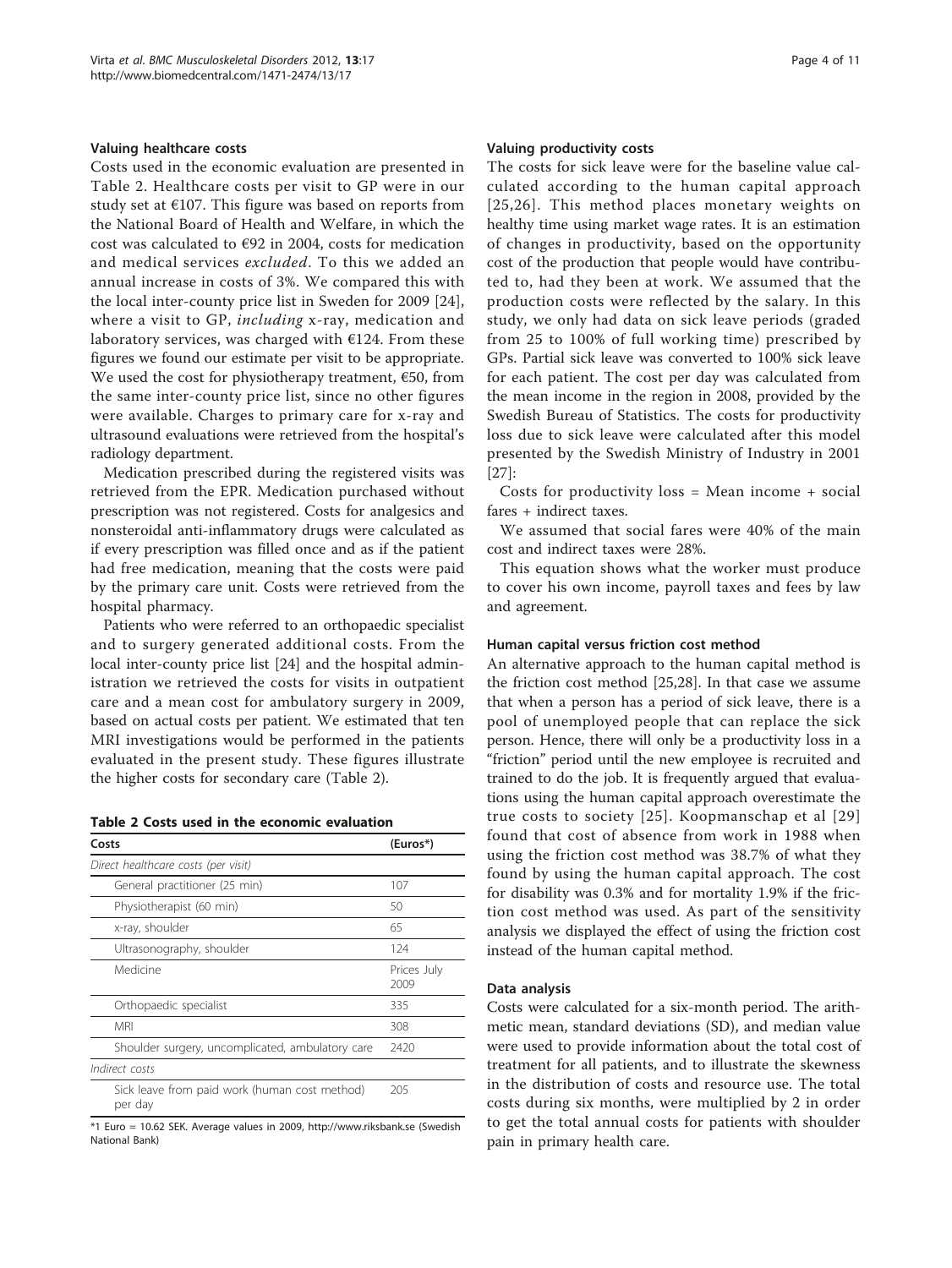#### Valuing healthcare costs

Costs used in the economic evaluation are presented in Table 2. Healthcare costs per visit to GP were in our study set at  $E107$ . This figure was based on reports from the National Board of Health and Welfare, in which the cost was calculated to  $\epsilon$ 92 in 2004, costs for medication and medical services excluded. To this we added an annual increase in costs of 3%. We compared this with the local inter-county price list in Sweden for 2009 [\[24](#page-10-0)], where a visit to GP, including x-ray, medication and laboratory services, was charged with €124. From these figures we found our estimate per visit to be appropriate. We used the cost for physiotherapy treatment, €50, from the same inter-county price list, since no other figures were available. Charges to primary care for x-ray and ultrasound evaluations were retrieved from the hospital's radiology department.

Medication prescribed during the registered visits was retrieved from the EPR. Medication purchased without prescription was not registered. Costs for analgesics and nonsteroidal anti-inflammatory drugs were calculated as if every prescription was filled once and as if the patient had free medication, meaning that the costs were paid by the primary care unit. Costs were retrieved from the hospital pharmacy.

Patients who were referred to an orthopaedic specialist and to surgery generated additional costs. From the local inter-county price list [\[24\]](#page-10-0) and the hospital administration we retrieved the costs for visits in outpatient care and a mean cost for ambulatory surgery in 2009, based on actual costs per patient. We estimated that ten MRI investigations would be performed in the patients evaluated in the present study. These figures illustrate the higher costs for secondary care (Table 2).

Table 2 Costs used in the economic evaluation

| Costs                                                    | (Euros*)            |
|----------------------------------------------------------|---------------------|
| Direct healthcare costs (per visit)                      |                     |
| General practitioner (25 min)                            | 107                 |
| Physiotherapist (60 min)                                 | 50                  |
| x-ray, shoulder                                          | 65                  |
| Ultrasonography, shoulder                                | 124                 |
| Medicine                                                 | Prices July<br>2009 |
| Orthopaedic specialist                                   | 335                 |
| <b>MRI</b>                                               | 308                 |
| Shoulder surgery, uncomplicated, ambulatory care         | 2420                |
| Indirect costs                                           |                     |
| Sick leave from paid work (human cost method)<br>per day | 205                 |

\*1 Euro = 10.62 SEK. Average values in 2009,<http://www.riksbank.se> (Swedish National Bank)

#### Valuing productivity costs

The costs for sick leave were for the baseline value calculated according to the human capital approach [[25](#page-10-0),[26](#page-10-0)]. This method places monetary weights on healthy time using market wage rates. It is an estimation of changes in productivity, based on the opportunity cost of the production that people would have contributed to, had they been at work. We assumed that the production costs were reflected by the salary. In this study, we only had data on sick leave periods (graded from 25 to 100% of full working time) prescribed by GPs. Partial sick leave was converted to 100% sick leave for each patient. The cost per day was calculated from the mean income in the region in 2008, provided by the Swedish Bureau of Statistics. The costs for productivity loss due to sick leave were calculated after this model presented by the Swedish Ministry of Industry in 2001 [[27\]](#page-10-0):

Costs for productivity loss = Mean income + social fares + indirect taxes.

We assumed that social fares were 40% of the main cost and indirect taxes were 28%.

This equation shows what the worker must produce to cover his own income, payroll taxes and fees by law and agreement.

#### Human capital versus friction cost method

An alternative approach to the human capital method is the friction cost method [[25,28\]](#page-10-0). In that case we assume that when a person has a period of sick leave, there is a pool of unemployed people that can replace the sick person. Hence, there will only be a productivity loss in a "friction" period until the new employee is recruited and trained to do the job. It is frequently argued that evaluations using the human capital approach overestimate the true costs to society [[25](#page-10-0)]. Koopmanschap et al [[29](#page-10-0)] found that cost of absence from work in 1988 when using the friction cost method was 38.7% of what they found by using the human capital approach. The cost for disability was 0.3% and for mortality 1.9% if the friction cost method was used. As part of the sensitivity analysis we displayed the effect of using the friction cost instead of the human capital method.

#### Data analysis

Costs were calculated for a six-month period. The arithmetic mean, standard deviations (SD), and median value were used to provide information about the total cost of treatment for all patients, and to illustrate the skewness in the distribution of costs and resource use. The total costs during six months, were multiplied by 2 in order to get the total annual costs for patients with shoulder pain in primary health care.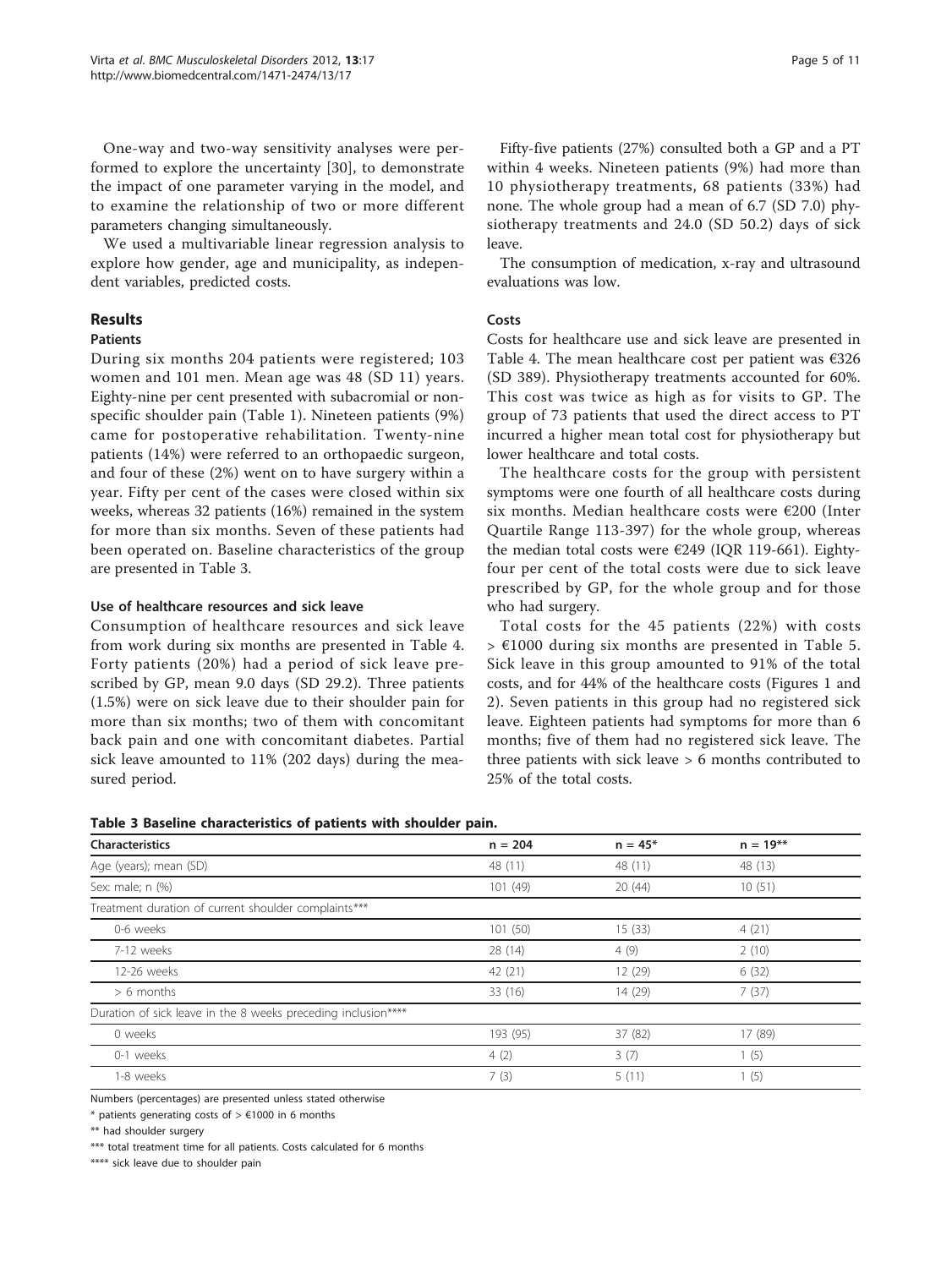One-way and two-way sensitivity analyses were performed to explore the uncertainty [[30\]](#page-10-0), to demonstrate the impact of one parameter varying in the model, and to examine the relationship of two or more different parameters changing simultaneously.

We used a multivariable linear regression analysis to explore how gender, age and municipality, as independent variables, predicted costs.

# Results

# Patients

During six months 204 patients were registered; 103 women and 101 men. Mean age was 48 (SD 11) years. Eighty-nine per cent presented with subacromial or nonspecific shoulder pain (Table [1](#page-2-0)). Nineteen patients (9%) came for postoperative rehabilitation. Twenty-nine patients (14%) were referred to an orthopaedic surgeon, and four of these (2%) went on to have surgery within a year. Fifty per cent of the cases were closed within six weeks, whereas 32 patients (16%) remained in the system for more than six months. Seven of these patients had been operated on. Baseline characteristics of the group are presented in Table 3.

# Use of healthcare resources and sick leave

Consumption of healthcare resources and sick leave from work during six months are presented in Table [4](#page-5-0). Forty patients (20%) had a period of sick leave prescribed by GP, mean 9.0 days (SD 29.2). Three patients (1.5%) were on sick leave due to their shoulder pain for more than six months; two of them with concomitant back pain and one with concomitant diabetes. Partial sick leave amounted to 11% (202 days) during the measured period.

#### Page 5 of 11

Fifty-five patients (27%) consulted both a GP and a PT within 4 weeks. Nineteen patients (9%) had more than 10 physiotherapy treatments, 68 patients (33%) had none. The whole group had a mean of 6.7 (SD 7.0) physiotherapy treatments and 24.0 (SD 50.2) days of sick leave.

The consumption of medication, x-ray and ultrasound evaluations was low.

# Costs

Costs for healthcare use and sick leave are presented in Table [4.](#page-5-0) The mean healthcare cost per patient was  $\epsilon$ 326 (SD 389). Physiotherapy treatments accounted for 60%. This cost was twice as high as for visits to GP. The group of 73 patients that used the direct access to PT incurred a higher mean total cost for physiotherapy but lower healthcare and total costs.

The healthcare costs for the group with persistent symptoms were one fourth of all healthcare costs during six months. Median healthcare costs were €200 (Inter Quartile Range 113-397) for the whole group, whereas the median total costs were  $\epsilon$ 249 (IQR 119-661). Eightyfour per cent of the total costs were due to sick leave prescribed by GP, for the whole group and for those who had surgery.

Total costs for the 45 patients (22%) with costs  $> \text{\textsterling}1000$  during six months are presented in Table [5](#page-5-0). Sick leave in this group amounted to 91% of the total costs, and for 44% of the healthcare costs (Figures [1](#page-6-0) and [2\)](#page-7-0). Seven patients in this group had no registered sick leave. Eighteen patients had symptoms for more than 6 months; five of them had no registered sick leave. The three patients with sick leave > 6 months contributed to 25% of the total costs.

|  |  | Table 3 Baseline characteristics of patients with shoulder pain. |  |  |  |  |  |
|--|--|------------------------------------------------------------------|--|--|--|--|--|
|--|--|------------------------------------------------------------------|--|--|--|--|--|

| <b>Characteristics</b>                                        | $n = 204$ | $n = 45*$ | $n = 19**$ |
|---------------------------------------------------------------|-----------|-----------|------------|
| Age (years); mean (SD)                                        | 48 (11)   | 48 (11)   | 48 (13)    |
| Sex: male; n (%)                                              | 101(49)   | 20(44)    | 10(51)     |
| Treatment duration of current shoulder complaints***          |           |           |            |
| 0-6 weeks                                                     | 101(50)   | 15(33)    | 4(21)      |
| 7-12 weeks                                                    | 28 (14)   | 4(9)      | 2(10)      |
| 12-26 weeks                                                   | 42 (21)   | 12 (29)   | 6(32)      |
| $> 6$ months                                                  | 33 (16)   | 14 (29)   | 7(37)      |
| Duration of sick leave in the 8 weeks preceding inclusion**** |           |           |            |
| 0 weeks                                                       | 193 (95)  | 37 (82)   | 17 (89)    |
| 0-1 weeks                                                     | 4(2)      | 3(7)      | 1(5)       |
| 1-8 weeks                                                     | 7(3)      | 5(11)     | 1(5)       |

Numbers (percentages) are presented unless stated otherwise

\* patients generating costs of  $> \text{\textsterling}1000$  in 6 months

\*\* had shoulder surgery

\*\*\* total treatment time for all patients. Costs calculated for 6 months

\*\*\*\* sick leave due to shoulder pain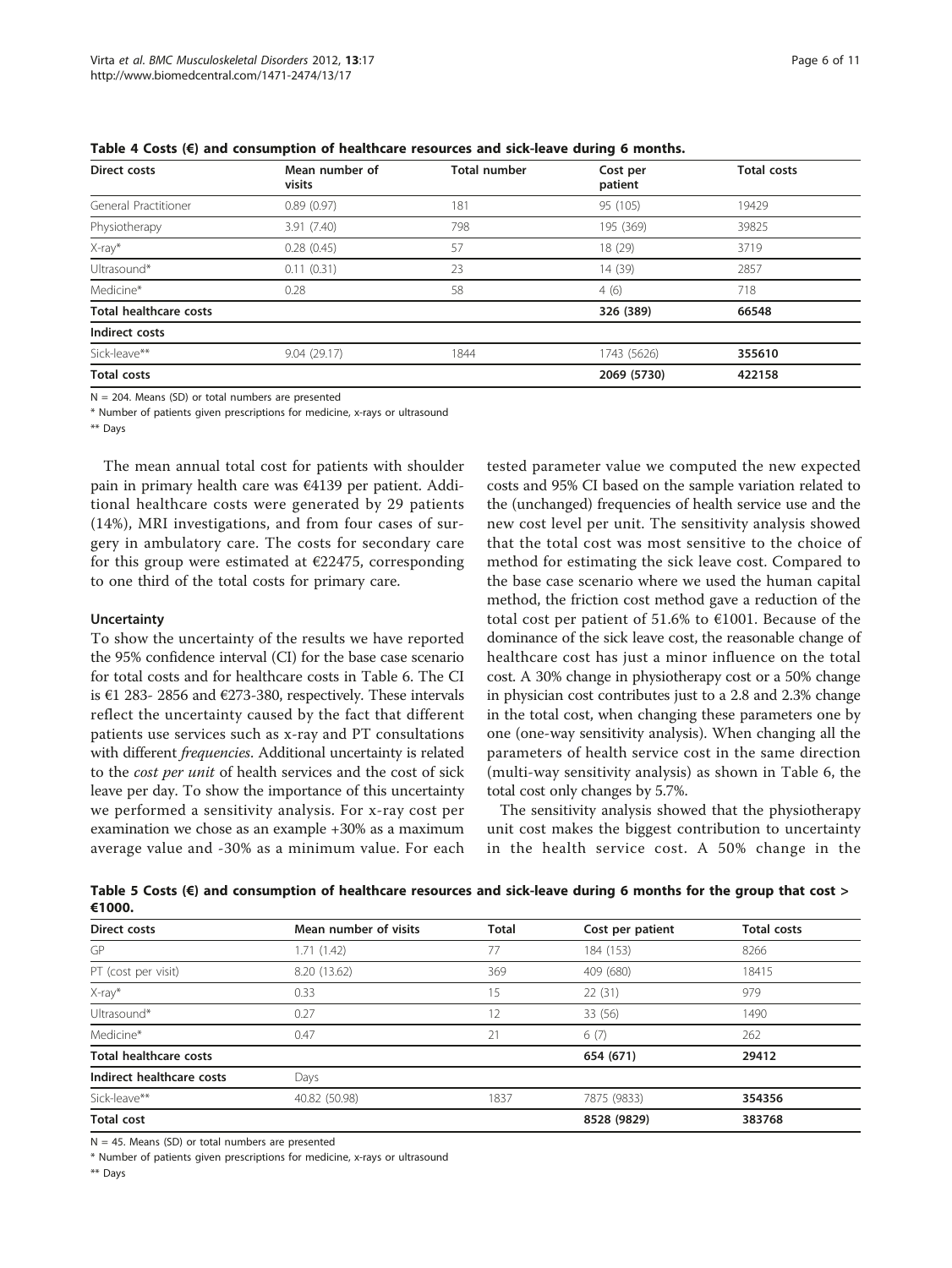| <b>Direct costs</b>           | Mean number of<br>visits | <b>Total number</b> | Cost per<br>patient | <b>Total costs</b> |
|-------------------------------|--------------------------|---------------------|---------------------|--------------------|
| General Practitioner          | 0.89(0.97)               | 181                 | 95 (105)            | 19429              |
| Physiotherapy                 | 3.91(7.40)               | 798                 | 195 (369)           | 39825              |
| X-ray*                        | 0.28(0.45)               | 57                  | 18 (29)             | 3719               |
| Ultrasound*                   | 0.11(0.31)               | 23                  | 14 (39)             | 2857               |
| Medicine*                     | 0.28                     | 58                  | 4(6)                | 718                |
| <b>Total healthcare costs</b> |                          |                     | 326 (389)           | 66548              |
| Indirect costs                |                          |                     |                     |                    |
| Sick-leave**                  | 9.04(29.17)              | 1844                | 1743 (5626)         | 355610             |
| <b>Total costs</b>            |                          |                     | 2069 (5730)         | 422158             |

<span id="page-5-0"></span>Table 4 Costs (€) and consumption of healthcare resources and sick-leave during 6 months.

N = 204. Means (SD) or total numbers are presented

\* Number of patients given prescriptions for medicine, x-rays or ultrasound

\*\* Days

The mean annual total cost for patients with shoulder pain in primary health care was €4139 per patient. Additional healthcare costs were generated by 29 patients (14%), MRI investigations, and from four cases of surgery in ambulatory care. The costs for secondary care for this group were estimated at  $\epsilon$ 22475, corresponding to one third of the total costs for primary care.

## **Uncertainty**

To show the uncertainty of the results we have reported the 95% confidence interval (CI) for the base case scenario for total costs and for healthcare costs in Table [6.](#page-8-0) The CI is €1 283- 2856 and €273-380, respectively. These intervals reflect the uncertainty caused by the fact that different patients use services such as x-ray and PT consultations with different frequencies. Additional uncertainty is related to the cost per unit of health services and the cost of sick leave per day. To show the importance of this uncertainty we performed a sensitivity analysis. For x-ray cost per examination we chose as an example +30% as a maximum average value and -30% as a minimum value. For each

tested parameter value we computed the new expected costs and 95% CI based on the sample variation related to the (unchanged) frequencies of health service use and the new cost level per unit. The sensitivity analysis showed that the total cost was most sensitive to the choice of method for estimating the sick leave cost. Compared to the base case scenario where we used the human capital method, the friction cost method gave a reduction of the total cost per patient of 51.6% to €1001. Because of the dominance of the sick leave cost, the reasonable change of healthcare cost has just a minor influence on the total cost. A 30% change in physiotherapy cost or a 50% change in physician cost contributes just to a 2.8 and 2.3% change in the total cost, when changing these parameters one by one (one-way sensitivity analysis). When changing all the parameters of health service cost in the same direction (multi-way sensitivity analysis) as shown in Table [6](#page-8-0), the total cost only changes by 5.7%.

The sensitivity analysis showed that the physiotherapy unit cost makes the biggest contribution to uncertainty in the health service cost. A 50% change in the

| €1000.       | Table 5 Costs (c) and consumption or nearincare resources and sick-leave during 0 months for the group that cost 2 |       |                  |                    |  |
|--------------|--------------------------------------------------------------------------------------------------------------------|-------|------------------|--------------------|--|
| Direct costs | Mean number of visits                                                                                              | Total | Cost per patient | <b>Total costs</b> |  |

Table 5 Costs (€) and consumption of healthcare resources and sick-leave during 6 months for the group that cost >

| <b>DILECT COPP</b>            | MEAN INIHIDEL OF MOILS | ι υται | Cost per patient | TULAI LUSLS |
|-------------------------------|------------------------|--------|------------------|-------------|
| GP                            | 1.71(1.42)             | 77     | 184 (153)        | 8266        |
| PT (cost per visit)           | 8.20 (13.62)           | 369    | 409 (680)        | 18415       |
| X-ray*                        | 0.33                   | 15     | 22(31)           | 979         |
| Ultrasound*                   | 0.27                   | 12     | 33 (56)          | 1490        |
| Medicine*                     | 0.47                   | 21     | 6(7)             | 262         |
| <b>Total healthcare costs</b> |                        |        | 654 (671)        | 29412       |
| Indirect healthcare costs     | Days                   |        |                  |             |
| Sick-leave**                  | 40.82 (50.98)          | 1837   | 7875 (9833)      | 354356      |
| <b>Total cost</b>             |                        |        | 8528 (9829)      | 383768      |
|                               |                        |        |                  |             |

 $N = 45$ . Means (SD) or total numbers are presented

\* Number of patients given prescriptions for medicine, x-rays or ultrasound

\*\* Days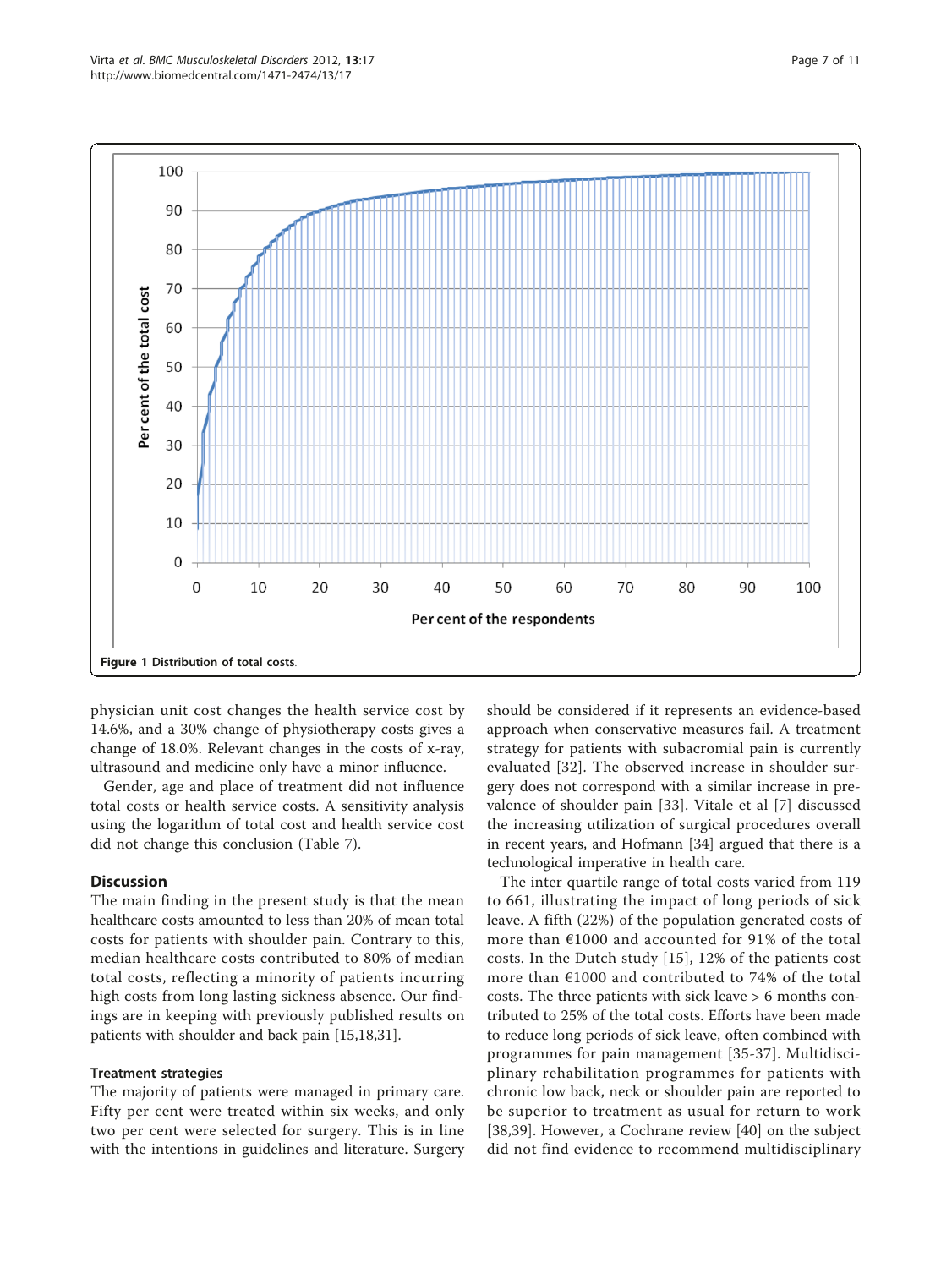<span id="page-6-0"></span>

physician unit cost changes the health service cost by 14.6%, and a 30% change of physiotherapy costs gives a change of 18.0%. Relevant changes in the costs of x-ray, ultrasound and medicine only have a minor influence.

Gender, age and place of treatment did not influence total costs or health service costs. A sensitivity analysis using the logarithm of total cost and health service cost did not change this conclusion (Table [7\)](#page-8-0).

# **Discussion**

The main finding in the present study is that the mean healthcare costs amounted to less than 20% of mean total costs for patients with shoulder pain. Contrary to this, median healthcare costs contributed to 80% of median total costs, reflecting a minority of patients incurring high costs from long lasting sickness absence. Our findings are in keeping with previously published results on patients with shoulder and back pain [\[15](#page-9-0)[,18,31\]](#page-10-0).

# Treatment strategies

The majority of patients were managed in primary care. Fifty per cent were treated within six weeks, and only two per cent were selected for surgery. This is in line with the intentions in guidelines and literature. Surgery should be considered if it represents an evidence-based approach when conservative measures fail. A treatment strategy for patients with subacromial pain is currently evaluated [\[32\]](#page-10-0). The observed increase in shoulder surgery does not correspond with a similar increase in prevalence of shoulder pain [\[33](#page-10-0)]. Vitale et al [\[7](#page-9-0)] discussed the increasing utilization of surgical procedures overall in recent years, and Hofmann [\[34\]](#page-10-0) argued that there is a technological imperative in health care.

The inter quartile range of total costs varied from 119 to 661, illustrating the impact of long periods of sick leave. A fifth (22%) of the population generated costs of more than €1000 and accounted for 91% of the total costs. In the Dutch study [[15](#page-9-0)], 12% of the patients cost more than €1000 and contributed to 74% of the total costs. The three patients with sick leave > 6 months contributed to 25% of the total costs. Efforts have been made to reduce long periods of sick leave, often combined with programmes for pain management [[35-37](#page-10-0)]. Multidisciplinary rehabilitation programmes for patients with chronic low back, neck or shoulder pain are reported to be superior to treatment as usual for return to work [[38,39](#page-10-0)]. However, a Cochrane review [[40\]](#page-10-0) on the subject did not find evidence to recommend multidisciplinary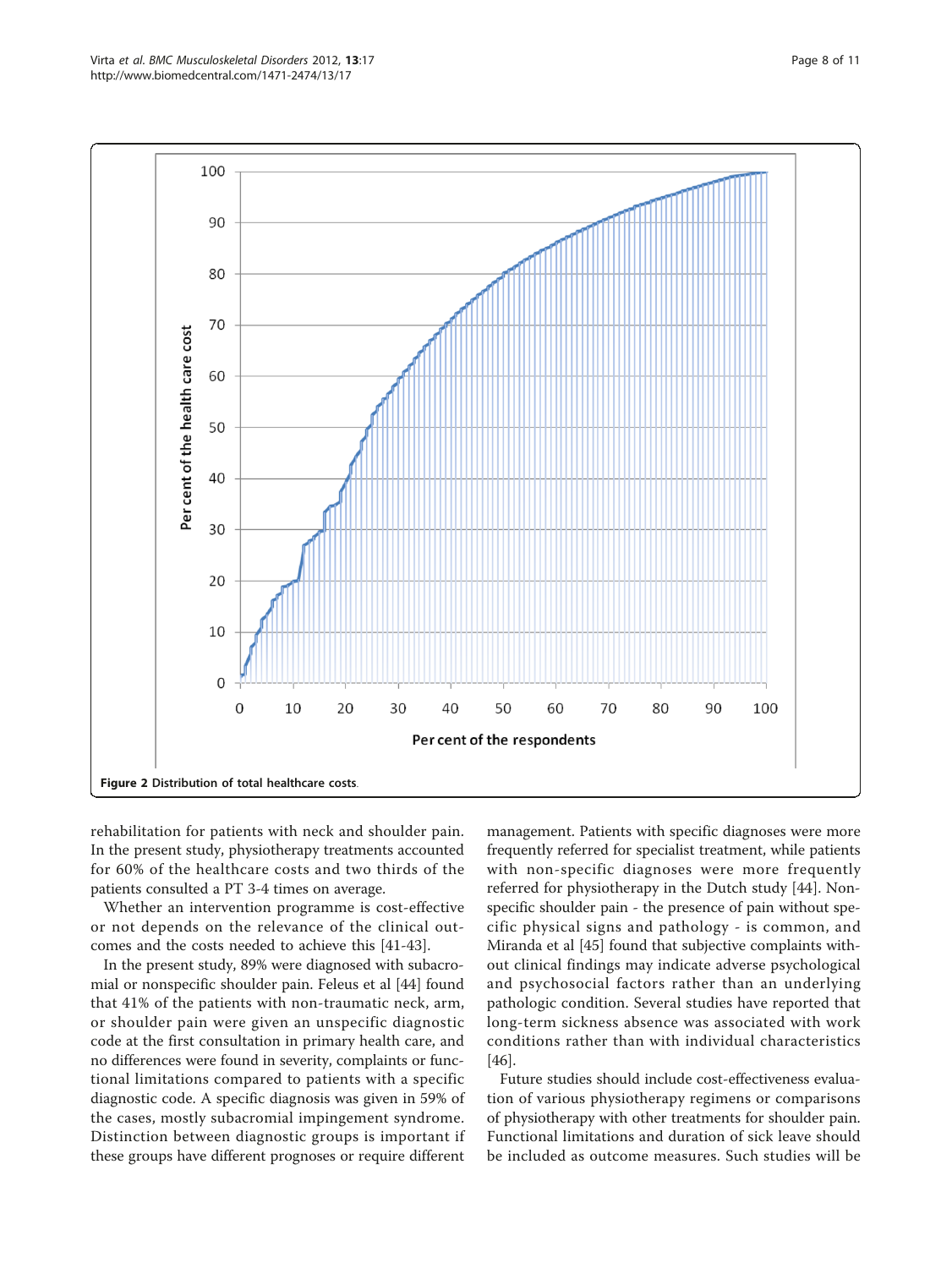<span id="page-7-0"></span>

rehabilitation for patients with neck and shoulder pain. In the present study, physiotherapy treatments accounted for 60% of the healthcare costs and two thirds of the patients consulted a PT 3-4 times on average.

Whether an intervention programme is cost-effective or not depends on the relevance of the clinical outcomes and the costs needed to achieve this [\[41-43](#page-10-0)].

In the present study, 89% were diagnosed with subacromial or nonspecific shoulder pain. Feleus et al [[44\]](#page-10-0) found that 41% of the patients with non-traumatic neck, arm, or shoulder pain were given an unspecific diagnostic code at the first consultation in primary health care, and no differences were found in severity, complaints or functional limitations compared to patients with a specific diagnostic code. A specific diagnosis was given in 59% of the cases, mostly subacromial impingement syndrome. Distinction between diagnostic groups is important if these groups have different prognoses or require different

management. Patients with specific diagnoses were more frequently referred for specialist treatment, while patients with non-specific diagnoses were more frequently referred for physiotherapy in the Dutch study [[44\]](#page-10-0). Nonspecific shoulder pain - the presence of pain without specific physical signs and pathology - is common, and Miranda et al [\[45](#page-10-0)] found that subjective complaints without clinical findings may indicate adverse psychological and psychosocial factors rather than an underlying pathologic condition. Several studies have reported that long-term sickness absence was associated with work conditions rather than with individual characteristics [[46\]](#page-10-0).

Future studies should include cost-effectiveness evaluation of various physiotherapy regimens or comparisons of physiotherapy with other treatments for shoulder pain. Functional limitations and duration of sick leave should be included as outcome measures. Such studies will be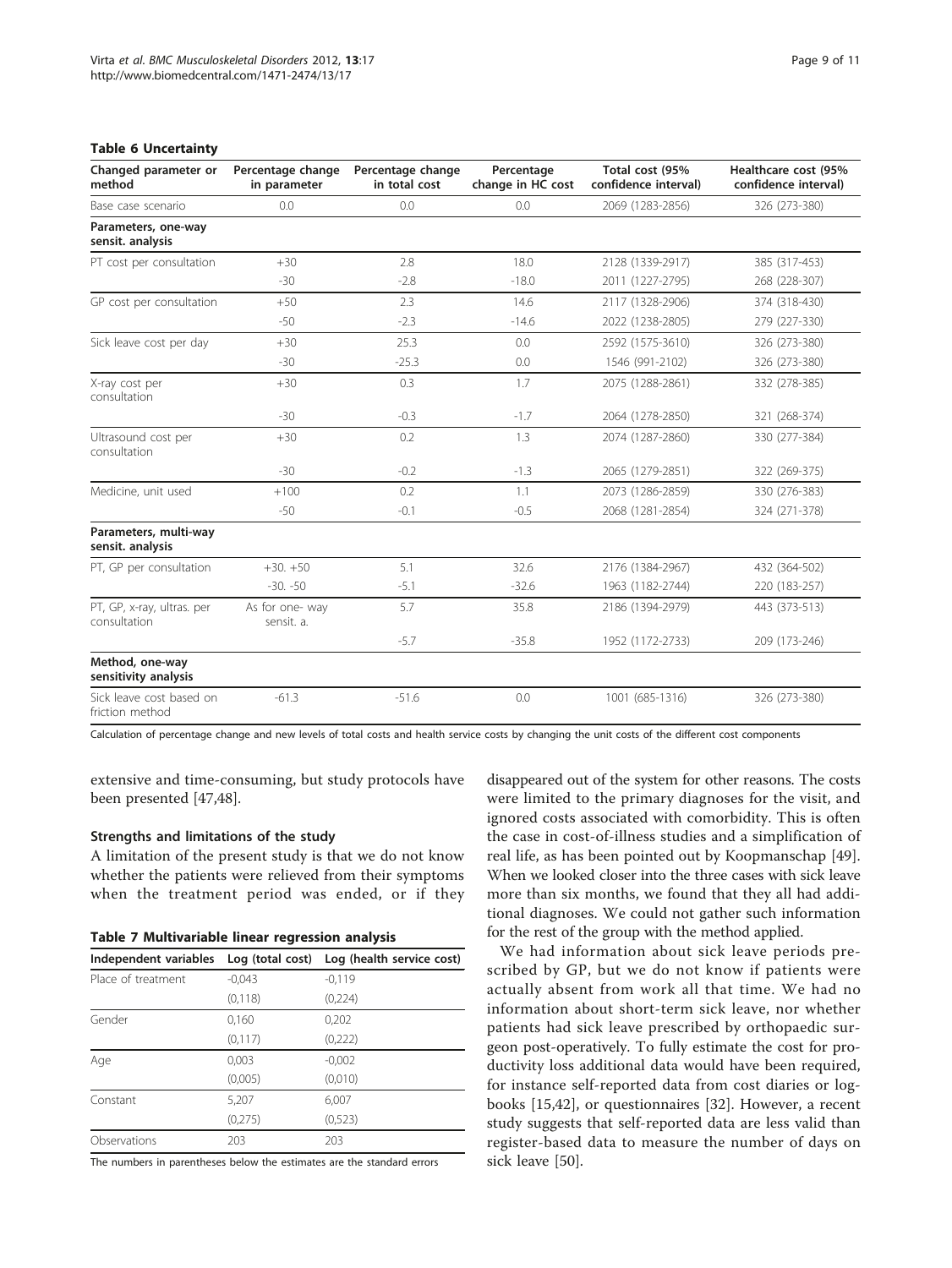#### <span id="page-8-0"></span>Table 6 Uncertainty

| Changed parameter or<br>method              | Percentage change<br>in parameter | Percentage change<br>in total cost | Percentage<br>change in HC cost | Total cost (95%<br>confidence interval) | Healthcare cost (95%<br>confidence interval) |
|---------------------------------------------|-----------------------------------|------------------------------------|---------------------------------|-----------------------------------------|----------------------------------------------|
| Base case scenario                          | 0.0                               | 0.0                                | 0.0                             | 2069 (1283-2856)                        | 326 (273-380)                                |
| Parameters, one-way<br>sensit. analysis     |                                   |                                    |                                 |                                         |                                              |
| PT cost per consultation                    | $+30$                             | 2.8                                | 18.0                            | 2128 (1339-2917)                        | 385 (317-453)                                |
|                                             | $-30$                             | $-2.8$                             | $-18.0$                         | 2011 (1227-2795)                        | 268 (228-307)                                |
| GP cost per consultation                    | $+50$                             | 2.3                                | 14.6                            | 2117 (1328-2906)                        | 374 (318-430)                                |
|                                             | $-50$                             | $-2.3$                             | $-14.6$                         | 2022 (1238-2805)                        | 279 (227-330)                                |
| Sick leave cost per day                     | $+30$                             | 25.3                               | 0.0                             | 2592 (1575-3610)                        | 326 (273-380)                                |
|                                             | $-30$                             | $-25.3$                            | 0.0                             | 1546 (991-2102)                         | 326 (273-380)                                |
| X-ray cost per<br>consultation              | $+30$                             | 0.3                                | 1.7                             | 2075 (1288-2861)                        | 332 (278-385)                                |
|                                             | $-30$                             | $-0.3$                             | $-1.7$                          | 2064 (1278-2850)                        | 321 (268-374)                                |
| Ultrasound cost per<br>consultation         | $+30$                             | 0.2                                | 1.3                             | 2074 (1287-2860)                        | 330 (277-384)                                |
|                                             | $-30$                             | $-0.2$                             | $-1.3$                          | 2065 (1279-2851)                        | 322 (269-375)                                |
| Medicine, unit used                         | $+100$                            | 0.2                                | 1.1                             | 2073 (1286-2859)                        | 330 (276-383)                                |
|                                             | $-50$                             | $-0.1$                             | $-0.5$                          | 2068 (1281-2854)                        | 324 (271-378)                                |
| Parameters, multi-way<br>sensit. analysis   |                                   |                                    |                                 |                                         |                                              |
| PT, GP per consultation                     | $+30. +50$                        | 5.1                                | 32.6                            | 2176 (1384-2967)                        | 432 (364-502)                                |
|                                             | $-30. -50$                        | $-5.1$                             | $-32.6$                         | 1963 (1182-2744)                        | 220 (183-257)                                |
| PT, GP, x-ray, ultras. per<br>consultation  | As for one- way<br>sensit. a.     | 5.7                                | 35.8                            | 2186 (1394-2979)                        | 443 (373-513)                                |
|                                             |                                   | $-5.7$                             | $-35.8$                         | 1952 (1172-2733)                        | 209 (173-246)                                |
| Method, one-way<br>sensitivity analysis     |                                   |                                    |                                 |                                         |                                              |
| Sick leave cost based on<br>friction method | $-61.3$                           | $-51.6$                            | 0.0                             | 1001 (685-1316)                         | 326 (273-380)                                |

Calculation of percentage change and new levels of total costs and health service costs by changing the unit costs of the different cost components

extensive and time-consuming, but study protocols have been presented [[47,48\]](#page-10-0).

## Strengths and limitations of the study

A limitation of the present study is that we do not know whether the patients were relieved from their symptoms when the treatment period was ended, or if they

| Table 7 Multivariable linear regression analysis |  |  |
|--------------------------------------------------|--|--|
|--------------------------------------------------|--|--|

| Independent variables | Log (total cost) | Log (health service cost) |
|-----------------------|------------------|---------------------------|
| Place of treatment    | $-0,043$         | $-0,119$                  |
|                       | (0, 118)         | (0,224)                   |
| Gender                | 0.160            | 0,202                     |
|                       | (0, 117)         | (0,222)                   |
| Age                   | 0.003            | $-0,002$                  |
|                       | (0,005)          | (0,010)                   |
| Constant              | 5.207            | 6,007                     |
|                       | (0,275)          | (0,523)                   |
| Observations          | 203              | 203                       |

The numbers in parentheses below the estimates are the standard errors

disappeared out of the system for other reasons. The costs were limited to the primary diagnoses for the visit, and ignored costs associated with comorbidity. This is often the case in cost-of-illness studies and a simplification of real life, as has been pointed out by Koopmanschap [\[49](#page-10-0)]. When we looked closer into the three cases with sick leave more than six months, we found that they all had additional diagnoses. We could not gather such information for the rest of the group with the method applied.

We had information about sick leave periods prescribed by GP, but we do not know if patients were actually absent from work all that time. We had no information about short-term sick leave, nor whether patients had sick leave prescribed by orthopaedic surgeon post-operatively. To fully estimate the cost for productivity loss additional data would have been required, for instance self-reported data from cost diaries or logbooks [\[15](#page-9-0)[,42](#page-10-0)], or questionnaires [\[32](#page-10-0)]. However, a recent study suggests that self-reported data are less valid than register-based data to measure the number of days on sick leave [\[50\]](#page-10-0).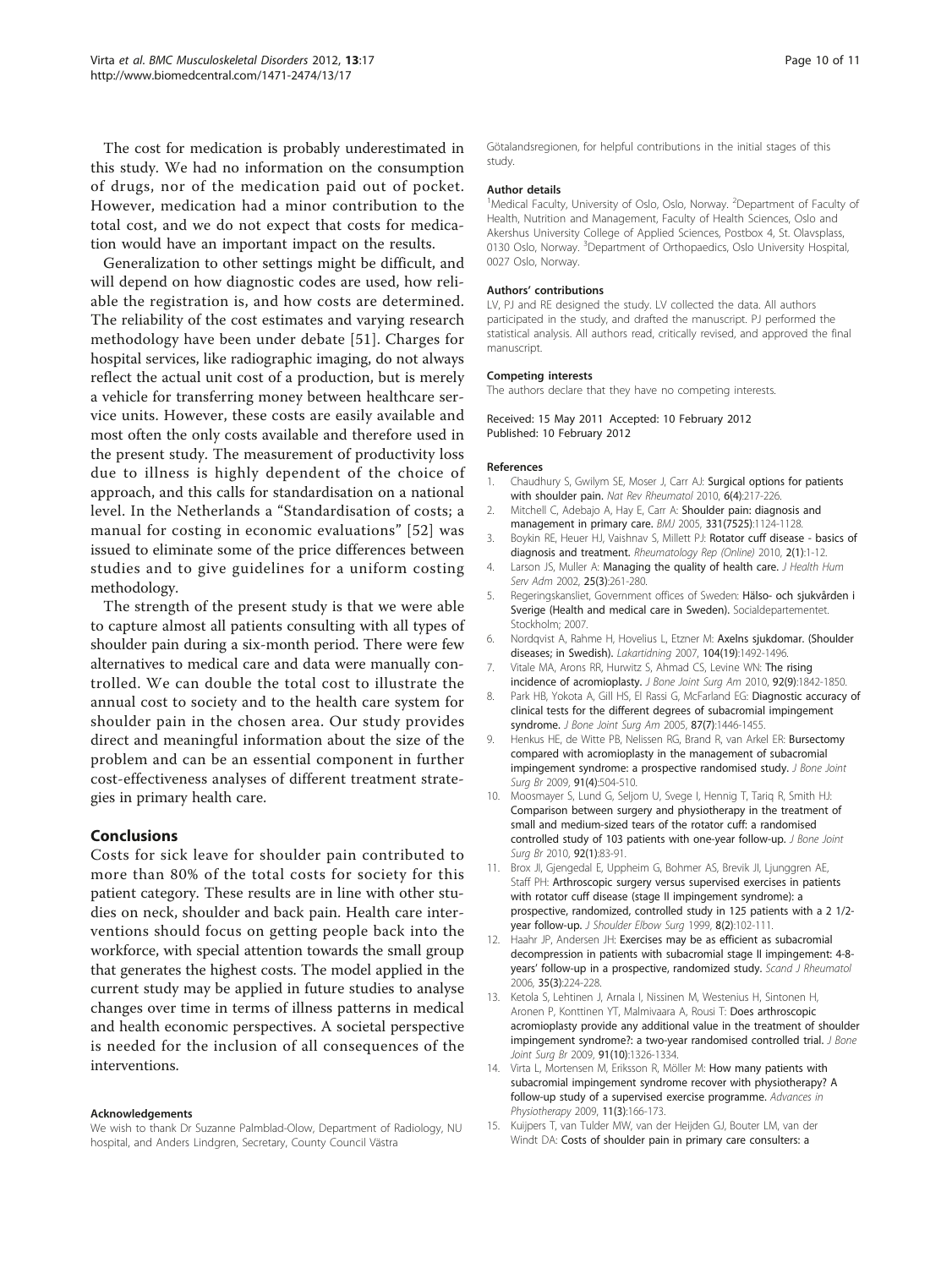<span id="page-9-0"></span>The cost for medication is probably underestimated in this study. We had no information on the consumption of drugs, nor of the medication paid out of pocket. However, medication had a minor contribution to the total cost, and we do not expect that costs for medication would have an important impact on the results.

Generalization to other settings might be difficult, and will depend on how diagnostic codes are used, how reliable the registration is, and how costs are determined. The reliability of the cost estimates and varying research methodology have been under debate [\[51\]](#page-10-0). Charges for hospital services, like radiographic imaging, do not always reflect the actual unit cost of a production, but is merely a vehicle for transferring money between healthcare service units. However, these costs are easily available and most often the only costs available and therefore used in the present study. The measurement of productivity loss due to illness is highly dependent of the choice of approach, and this calls for standardisation on a national level. In the Netherlands a "Standardisation of costs; a manual for costing in economic evaluations" [[52](#page-10-0)] was issued to eliminate some of the price differences between studies and to give guidelines for a uniform costing methodology.

The strength of the present study is that we were able to capture almost all patients consulting with all types of shoulder pain during a six-month period. There were few alternatives to medical care and data were manually controlled. We can double the total cost to illustrate the annual cost to society and to the health care system for shoulder pain in the chosen area. Our study provides direct and meaningful information about the size of the problem and can be an essential component in further cost-effectiveness analyses of different treatment strategies in primary health care.

## Conclusions

Costs for sick leave for shoulder pain contributed to more than 80% of the total costs for society for this patient category. These results are in line with other studies on neck, shoulder and back pain. Health care interventions should focus on getting people back into the workforce, with special attention towards the small group that generates the highest costs. The model applied in the current study may be applied in future studies to analyse changes over time in terms of illness patterns in medical and health economic perspectives. A societal perspective is needed for the inclusion of all consequences of the interventions.

#### Acknowledgements

We wish to thank Dr Suzanne Palmblad-Olow, Department of Radiology, NU hospital, and Anders Lindgren, Secretary, County Council Västra

Götalandsregionen, for helpful contributions in the initial stages of this study.

#### Author details

<sup>1</sup>Medical Faculty, University of Oslo, Oslo, Norway. <sup>2</sup>Department of Faculty of Health, Nutrition and Management, Faculty of Health Sciences, Oslo and Akershus University College of Applied Sciences, Postbox 4, St. Olavsplass, 0130 Oslo, Norway. <sup>3</sup>Department of Orthopaedics, Oslo University Hospital 0027 Oslo, Norway.

#### Authors' contributions

LV, PJ and RE designed the study. LV collected the data. All authors participated in the study, and drafted the manuscript. PJ performed the statistical analysis. All authors read, critically revised, and approved the final manuscript.

#### Competing interests

The authors declare that they have no competing interests.

#### Received: 15 May 2011 Accepted: 10 February 2012 Published: 10 February 2012

#### References

- 1. Chaudhury S, Gwilym SE, Moser J, Carr AJ: [Surgical options for patients](http://www.ncbi.nlm.nih.gov/pubmed/20357791?dopt=Abstract) [with shoulder pain.](http://www.ncbi.nlm.nih.gov/pubmed/20357791?dopt=Abstract) Nat Rev Rheumatol 2010, 6(4):217-226.
- 2. Mitchell C, Adebajo A, Hay E, Carr A: [Shoulder pain: diagnosis and](http://www.ncbi.nlm.nih.gov/pubmed/16282408?dopt=Abstract) [management in primary care.](http://www.ncbi.nlm.nih.gov/pubmed/16282408?dopt=Abstract) BMJ 2005, 331(7525):1124-1128.
- 3. Boykin RE, Heuer HJ, Vaishnav S, Millett PJ: Rotator cuff disease basics of diagnosis and treatment. Rheumatology Rep (Online) 2010, 2(1):1-12.
- 4. Larson JS, Muller A: [Managing the quality of health care.](http://www.ncbi.nlm.nih.gov/pubmed/15188996?dopt=Abstract) J Health Hum Serv Adm 2002, 25(3):261-280.
- 5. Regeringskansliet, Government offices of Sweden: Hälso- och sjukvården i Sverige (Health and medical care in Sweden). Socialdepartementet. Stockholm; 2007.
- 6. Nordqvist A, Rahme H, Hovelius L, Etzner M: Axelns sjukdomar. (Shoulder diseases; in Swedish). Lakartidning 2007, 104(19):1492-1496.
- 7. Vitale MA, Arons RR, Hurwitz S, Ahmad CS, Levine WN: [The rising](http://www.ncbi.nlm.nih.gov/pubmed/20686058?dopt=Abstract) [incidence of acromioplasty.](http://www.ncbi.nlm.nih.gov/pubmed/20686058?dopt=Abstract) J Bone Joint Surg Am 2010, 92(9):1842-1850.
- 8. Park HB, Yokota A, Gill HS, El Rassi G, McFarland EG: [Diagnostic accuracy of](http://www.ncbi.nlm.nih.gov/pubmed/15995110?dopt=Abstract) [clinical tests for the different degrees of subacromial impingement](http://www.ncbi.nlm.nih.gov/pubmed/15995110?dopt=Abstract) [syndrome.](http://www.ncbi.nlm.nih.gov/pubmed/15995110?dopt=Abstract) J Bone Joint Surg Am 2005, 87(7):1446-1455.
- 9. Henkus HE, de Witte PB, Nelissen RG, Brand R, van Arkel ER: [Bursectomy](http://www.ncbi.nlm.nih.gov/pubmed/19336812?dopt=Abstract) [compared with acromioplasty in the management of subacromial](http://www.ncbi.nlm.nih.gov/pubmed/19336812?dopt=Abstract) [impingement syndrome: a prospective randomised study.](http://www.ncbi.nlm.nih.gov/pubmed/19336812?dopt=Abstract) J Bone Joint Sura Br 2009, 91(4):504-510.
- 10. Moosmayer S, Lund G, Seljom U, Svege I, Hennig T, Tariq R, Smith HJ: [Comparison between surgery and physiotherapy in the treatment of](http://www.ncbi.nlm.nih.gov/pubmed/20044684?dopt=Abstract) [small and medium-sized tears of the rotator cuff: a randomised](http://www.ncbi.nlm.nih.gov/pubmed/20044684?dopt=Abstract) [controlled study of 103 patients with one-year follow-up.](http://www.ncbi.nlm.nih.gov/pubmed/20044684?dopt=Abstract) J Bone Joint Sura Br 2010, 92(1):83-91.
- 11. Brox JI, Gjengedal E, Uppheim G, Bohmer AS, Brevik JI, Ljunggren AE, Staff PH: [Arthroscopic surgery versus supervised exercises in patients](http://www.ncbi.nlm.nih.gov/pubmed/10226960?dopt=Abstract) [with rotator cuff disease \(stage II impingement syndrome\): a](http://www.ncbi.nlm.nih.gov/pubmed/10226960?dopt=Abstract) [prospective, randomized, controlled study in 125 patients with a 2 1/2](http://www.ncbi.nlm.nih.gov/pubmed/10226960?dopt=Abstract) [year follow-up.](http://www.ncbi.nlm.nih.gov/pubmed/10226960?dopt=Abstract) J Shoulder Elbow Surg 1999, 8(2):102-111.
- 12. Haahr JP, Andersen JH: [Exercises may be as efficient as subacromial](http://www.ncbi.nlm.nih.gov/pubmed/16766370?dopt=Abstract) [decompression in patients with subacromial stage II impingement: 4-8](http://www.ncbi.nlm.nih.gov/pubmed/16766370?dopt=Abstract) years' [follow-up in a prospective, randomized study.](http://www.ncbi.nlm.nih.gov/pubmed/16766370?dopt=Abstract) Scand J Rheumatol 2006, 35(3):224-228.
- 13. Ketola S, Lehtinen J, Arnala I, Nissinen M, Westenius H, Sintonen H, Aronen P, Konttinen YT, Malmivaara A, Rousi T: [Does arthroscopic](http://www.ncbi.nlm.nih.gov/pubmed/19794168?dopt=Abstract) [acromioplasty provide any additional value in the treatment of shoulder](http://www.ncbi.nlm.nih.gov/pubmed/19794168?dopt=Abstract) [impingement syndrome?: a two-year randomised controlled trial.](http://www.ncbi.nlm.nih.gov/pubmed/19794168?dopt=Abstract) J Bone Joint Surg Br 2009, 91(10):1326-1334.
- 14. Virta L, Mortensen M, Eriksson R, Möller M: How many patients with subacromial impingement syndrome recover with physiotherapy? A follow-up study of a supervised exercise programme. Advances in Physiotherapy 2009, 11(3):166-173.
- 15. Kuijpers T, van Tulder MW, van der Heijden GJ, Bouter LM, van der Windt DA: [Costs of shoulder pain in primary care consulters: a](http://www.ncbi.nlm.nih.gov/pubmed/17078883?dopt=Abstract)